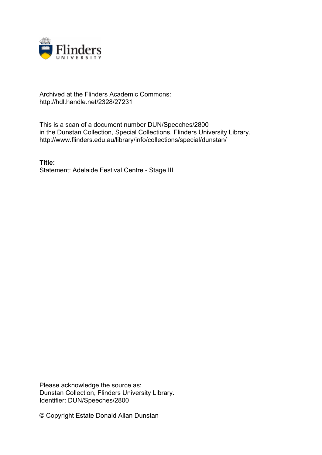

# Archived at the Flinders Academic Commons: http://hdl.handle.net/2328/27231

This is a scan of a document number DUN/Speeches/2800 in the Dunstan Collection, Special Collections, Flinders University Library. http://www.flinders.edu.au/library/info/collections/special/dunstan/

**Title:** Statement: Adelaide Festival Centre - Stage III

Please acknowledge the source as: Dunstan Collection, Flinders University Library. Identifier: DUN/Speeches/2800

© Copyright Estate Donald Allan Dunstan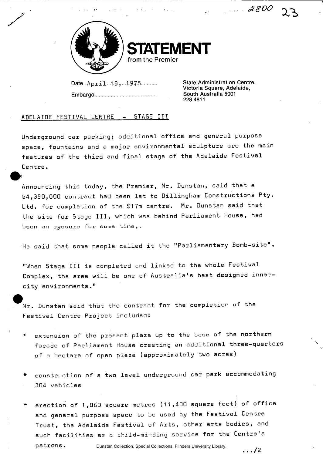

**AENT** from the Premier

Date...April...1.8. ,...1.9.7.5............ Embargo

State Administration Centre, Victoria Square, Adelaide, South Australia 5001 228 4811

*O? 800* 

### ADELAIDE FESTIVAL CENTRE - STAGE III

Underground car parking; additional office and general purpose space, fountains and a major environmental sculpture are the main features of the third and final stage of the Adelaide Festival Centre.

Announcing this today, the Premier, Mr. Dunstan, said that a \$4,350,000 contract had been let to Dillingham Constructions Pty. Ltd. for completion of the §17m centre. Mr. Dunstan said that the site for Stage III, which was behind Parliament House, had been an eyesore for some time..

He said that some people called it the "Parliamentary Bomb-site".

"When Stage III is completed and linked to the whole Festival Complex, the area will be one of Australia's best designed innercity environments."

 $Mr.$  Dunstan said that the contract for the completion of the Festival Centre Project included:

- extension of the present plaza up to the base of the northern facade of Parliament House creating an additional three-quarters of a hectare of open plaza (approximately two acres)
- construction of a two level underground car park accommodating 304 vehicles
- erection of 1,060 square metres (11,400 square feet) of office and general purpose space to be used by the Festival Centre Trust, the Adelaide Festival of Arts, other arts bodies, and such facilities as a child-minding service for the Centre's patrons. . . . /2

Dunstan Collection, Special Collections, Flinders University Library.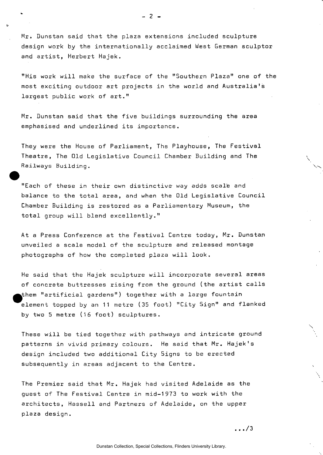Mr. Dunstan said that the plaza extensions included sculpture design work by the internationally acclaimed West German sculptor and artist, Herbert Hajek.

"His work will make the surface of the "Southern Plaza" one of the most exciting outdoor art projects in the world and Australia's largest public work of art."

Mr. Dunstan said that the five buildings surrounding the area emphasised and underlined its importance.

They were the House of Parliament, The Playhouse, The Festival Theatre, The Old Legislative Council Chamber Building and The Railways Building.

"Each of these in their own distinctive way adds scale and balance to the total area, and when the Old Legislative Council Chamber Building is restored as a Parliamentary Museum, the total group will blend excellently."

At a Press Conference at the Festival Centre today, Mr. Dunstan unveiled a scale model of the sculpture and released montage photographs of how the completed plaza will look.

He said that the Hajek sculpture will incorporate several areas of concrete buttresses rising from the ground (the artist calls |them "artificial gardens") together with a large fountain element topped by an 11 metre (35 foot) "City Sign" and flanked by two 5 metre (16 foot) sculptures.

These will be tied together with pathways and intricate ground patterns in vivid primary colours. He said that Mr. Hajek's design included two additional City 5igns to be erected subsequently in areas adjacent to the Centre.

The Premier said that Mr. Hajek had visited Adelaide as the guest of The Festival Centre in mid-1973 to work with the architects, Hassell and Partners of Adelaide, on the upper plaza design.

. . ./3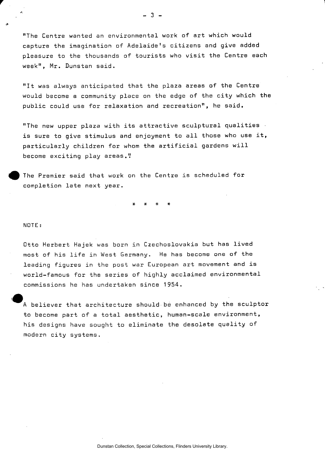"The Centre wanted an environmental work of art which would capture the imagination of Adelaide's citizens and give added pleasure to the thousands of tourists who visit the Centre each week", Mr. Dunstan said.

"It was always anticipated that the plaza areas of the Centre would become a community place on the edge of the city which the public could use for relaxation and recreation", he said.

"The new upper plaza with its attractive sculptural qualities is sure to give stimulus and enjoyment to all those who use it, particularly children for whom the artificial gardens will become exciting play areas."

The Premier said that work on the Centre is scheduled for completion late next year.

**\* \* \* \*** 

#### NOTE :

Otto Herbert Hajek was born in Czechoslovakia but has lived most of his life in West Germany. He has become one of the leading figures in the post war European art movement and is world-famous for the series of highly acclaimed environmental commissions he has undertaken since 1954.

 $\mathbf{I}_{\perp}$ A believer that architecture should be enhanced by the sculptor to become part of a total aesthetic, human-scale environment, his designs have sought to eliminate the desolate quality of modern city systems.

- 3 -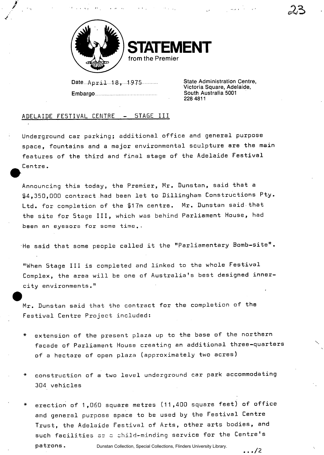



Date April 18, 1975 **Embargo** 

State Administration Centre, Victoria Square, Adelaide, South Australia 5001 228 4811

## ADELAIDE FESTIVAL CENTRE - STAGE III

Underground car parking; additional office and general purpose space, fountains and a major environmental sculpture are the main features of the third and final stage of the Adelaide Festival Centre.

Announcing this today, the Premier, Mr. Dunstan, said that a 14,350,000 contract had been let to Dillingham Constructions Pty. Ltd. for completion of the \$17m centre. Mr. Dunstan said that the site for Stage III, which was behind Parliament House, had been an eyesore for some time..

He said that some people called it the "Parliamentary Bomb-site".

"When Stage III is completed and linked to the whole Festival Complex, the area will be one of Australia's best designed innercity environments."

Mr. Dunstan said that the contract for the completion of the Festival Centre Project included:

- extension of the present plaza up to the base of the northern facade of Parliament House creating an additional three-quarters of a hectare of open plaza (approximately two acres)
- construction of a two level underground car park accommodating 304 vehicles
- erection of 1,060 square metres (11,400 square feet) of office and general purpose space to be used by the Festival Centre Trust, the Adelaide Festival of Arts, other arts bodies, and such facilities as G child-minding service for the Centre's patrons. . . . /2 Dunstan Collection, Special Collections, Flinders University Library.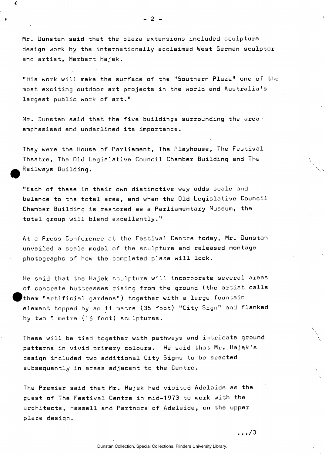Mr. Dunstan said that the plaza extensions included sculpture design work by the internationally acclaimed West German sculptor and artist, Herbert Hajek.

"His work will make the surface of the "Southern Plaza" one of the most exciting outdoor art projects in the world and Australia's largest public work of art."

 $Mr.$  Dunstan said that the five buildings surrounding the area emphasised and underlined its importance.

They were the House of Parliament, The Playhouse, The Festival Theatre, The Old Legislative Council Chamber Building and The Railways Building.

"Each of these in their own distinctive way adds scale and balance to the total area, and when the Old Legislative Council Chamber Building is restored as a Parliamentary Museum, the total group will blend excellently."

At a Press Conference at the Festival Centre today, Mr. Dunstan unveiled a scale model of the sculpture and released montage photographs of how the completed plaza will look.

He said that the Hajek sculpture will incorporate several areas of concrete buttresses rising from the ground (the artist calls 'them "artificial gardens") together with a large fountain element topped by an 11 metre (35 foot) "City Sign" and flanked by two 5 metre (16 foot) sculptures.

These will be tied together with pathways and intricate ground patterns in vivid primary colours. He said that Mr. Hajek's design included two additional City Signs to be erected subsequently in areas adjacent to the Centre.

The Premier said that Mr. Hajek had visited Adelaide as the guest of The Festival Centre in mid-1973 to work with the architects, Hassell and Partners of Adelaide, on the upper plaza design.

. . ,/3